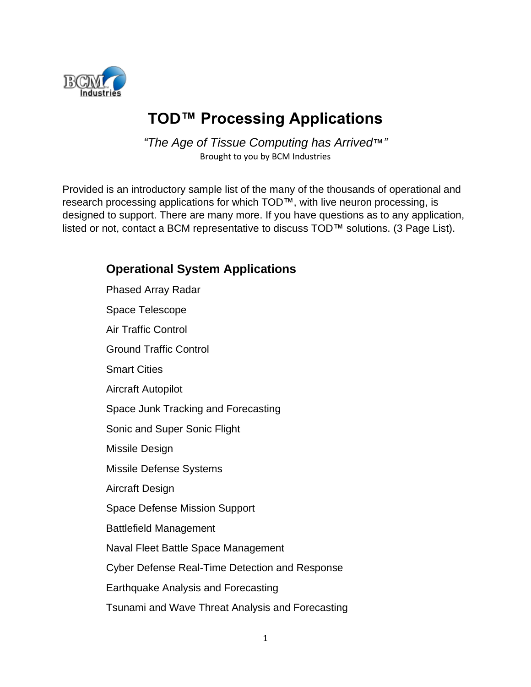

## **TOD™ Processing Applications**

*"The Age of Tissue Computing has Arrived*™*"* Brought to you by BCM Industries

Provided is an introductory sample list of the many of the thousands of operational and research processing applications for which TOD™, with live neuron processing, is designed to support. There are many more. If you have questions as to any application, listed or not, contact a BCM representative to discuss TOD™ solutions. (3 Page List).

## **Operational System Applications** Phased Array Radar Space Telescope Air Traffic Control Ground Traffic Control Smart Cities Aircraft Autopilot Space Junk Tracking and Forecasting Sonic and Super Sonic Flight Missile Design Missile Defense Systems Aircraft Design Space Defense Mission Support Battlefield Management Naval Fleet Battle Space Management Cyber Defense Real-Time Detection and Response Earthquake Analysis and Forecasting Tsunami and Wave Threat Analysis and Forecasting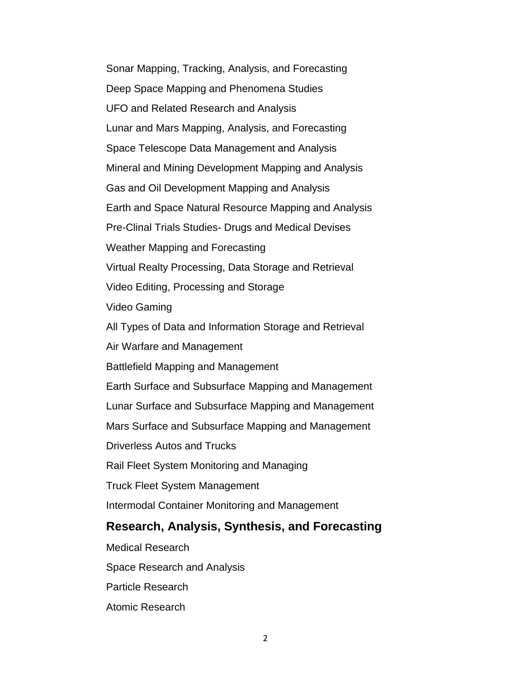Sonar Mapping, Tracking, Analysis, and Forecasting Deep Space Mapping and Phenomena Studies UFO and Related Research and Analysis Lunar and Mars Mapping, Analysis, and Forecasting Space Telescope Data Management and Analysis Mineral and Mining Development Mapping and Analysis Gas and Oil Development Mapping and Analysis Earth and Space Natural Resource Mapping and Analysis Pre-Clinal Trials Studies- Drugs and Medical Devises Weather Mapping and Forecasting Virtual Realty Processing, Data Storage and Retrieval Video Editing, Processing and Storage Video Gaming All Types of Data and Information Storage and Retrieval Air Warfare and Management Battlefield Mapping and Management Earth Surface and Subsurface Mapping and Management Lunar Surface and Subsurface Mapping and Management Mars Surface and Subsurface Mapping and Management Driverless Autos and Trucks Rail Fleet System Monitoring and Managing Truck Fleet System Management Intermodal Container Monitoring and Management **Research, Analysis, Synthesis, and Forecasting** Medical Research Space Research and Analysis Particle Research

Atomic Research